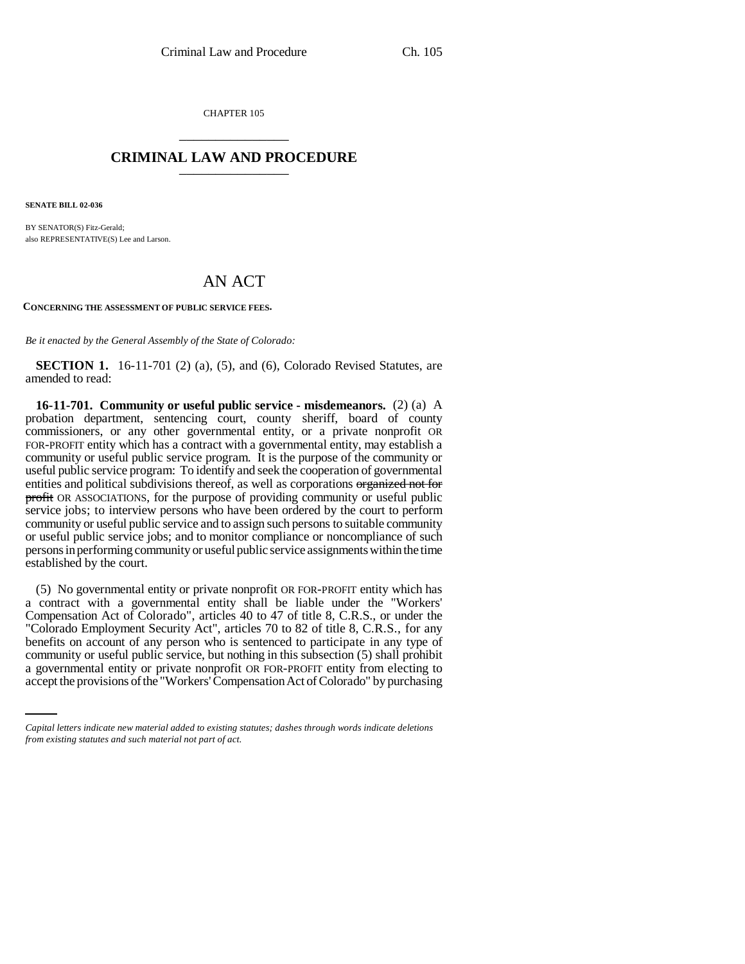CHAPTER 105 \_\_\_\_\_\_\_\_\_\_\_\_\_\_\_

## **CRIMINAL LAW AND PROCEDURE** \_\_\_\_\_\_\_\_\_\_\_\_\_\_\_

**SENATE BILL 02-036**

BY SENATOR(S) Fitz-Gerald; also REPRESENTATIVE(S) Lee and Larson.

## AN ACT

**CONCERNING THE ASSESSMENT OF PUBLIC SERVICE FEES.**

*Be it enacted by the General Assembly of the State of Colorado:*

**SECTION 1.** 16-11-701 (2) (a), (5), and (6), Colorado Revised Statutes, are amended to read:

**16-11-701. Community or useful public service - misdemeanors.** (2) (a) A probation department, sentencing court, county sheriff, board of county commissioners, or any other governmental entity, or a private nonprofit OR FOR-PROFIT entity which has a contract with a governmental entity, may establish a community or useful public service program. It is the purpose of the community or useful public service program: To identify and seek the cooperation of governmental entities and political subdivisions thereof, as well as corporations organized not for profit OR ASSOCIATIONS, for the purpose of providing community or useful public service jobs; to interview persons who have been ordered by the court to perform community or useful public service and to assign such persons to suitable community or useful public service jobs; and to monitor compliance or noncompliance of such persons in performing community or useful public service assignments within the time established by the court.

community or useful public service, but nothing in this subsection (5) shall prohibit (5) No governmental entity or private nonprofit OR FOR-PROFIT entity which has a contract with a governmental entity shall be liable under the "Workers' Compensation Act of Colorado", articles 40 to 47 of title 8, C.R.S., or under the "Colorado Employment Security Act", articles 70 to 82 of title 8, C.R.S., for any benefits on account of any person who is sentenced to participate in any type of a governmental entity or private nonprofit OR FOR-PROFIT entity from electing to accept the provisions of the "Workers' Compensation Act of Colorado" by purchasing

*Capital letters indicate new material added to existing statutes; dashes through words indicate deletions from existing statutes and such material not part of act.*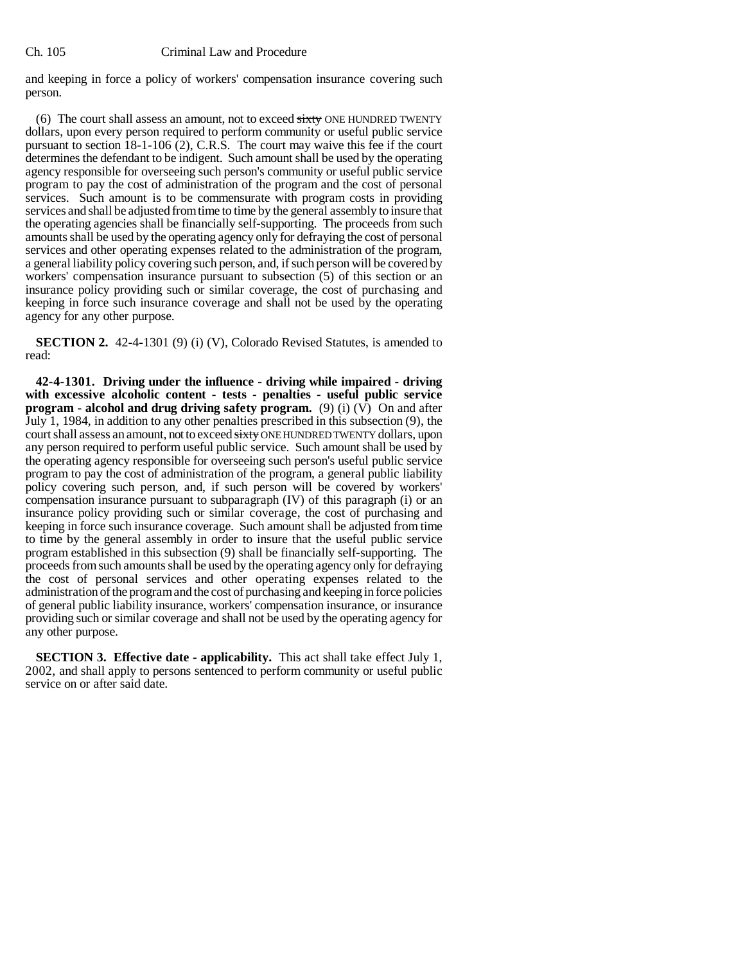## Ch. 105 Criminal Law and Procedure

and keeping in force a policy of workers' compensation insurance covering such person.

(6) The court shall assess an amount, not to exceed  $\frac{1}{\text{cutoff}}$  ONE HUNDRED TWENTY dollars, upon every person required to perform community or useful public service pursuant to section 18-1-106 (2), C.R.S. The court may waive this fee if the court determines the defendant to be indigent. Such amount shall be used by the operating agency responsible for overseeing such person's community or useful public service program to pay the cost of administration of the program and the cost of personal services. Such amount is to be commensurate with program costs in providing services and shall be adjusted from time to time by the general assembly to insure that the operating agencies shall be financially self-supporting. The proceeds from such amounts shall be used by the operating agency only for defraying the cost of personal services and other operating expenses related to the administration of the program, a general liability policy covering such person, and, if such person will be covered by workers' compensation insurance pursuant to subsection (5) of this section or an insurance policy providing such or similar coverage, the cost of purchasing and keeping in force such insurance coverage and shall not be used by the operating agency for any other purpose.

**SECTION 2.** 42-4-1301 (9) (i) (V), Colorado Revised Statutes, is amended to read:

**42-4-1301. Driving under the influence - driving while impaired - driving with excessive alcoholic content - tests - penalties - useful public service program - alcohol and drug driving safety program.** (9) (i) (V) On and after July 1, 1984, in addition to any other penalties prescribed in this subsection (9), the court shall assess an amount, not to exceed sixty ONE HUNDRED TWENTY dollars, upon any person required to perform useful public service. Such amount shall be used by the operating agency responsible for overseeing such person's useful public service program to pay the cost of administration of the program, a general public liability policy covering such person, and, if such person will be covered by workers' compensation insurance pursuant to subparagraph (IV) of this paragraph (i) or an insurance policy providing such or similar coverage, the cost of purchasing and keeping in force such insurance coverage. Such amount shall be adjusted from time to time by the general assembly in order to insure that the useful public service program established in this subsection (9) shall be financially self-supporting. The proceeds from such amounts shall be used by the operating agency only for defraying the cost of personal services and other operating expenses related to the administration of the program and the cost of purchasing and keeping in force policies of general public liability insurance, workers' compensation insurance, or insurance providing such or similar coverage and shall not be used by the operating agency for any other purpose.

**SECTION 3. Effective date - applicability.** This act shall take effect July 1, 2002, and shall apply to persons sentenced to perform community or useful public service on or after said date.